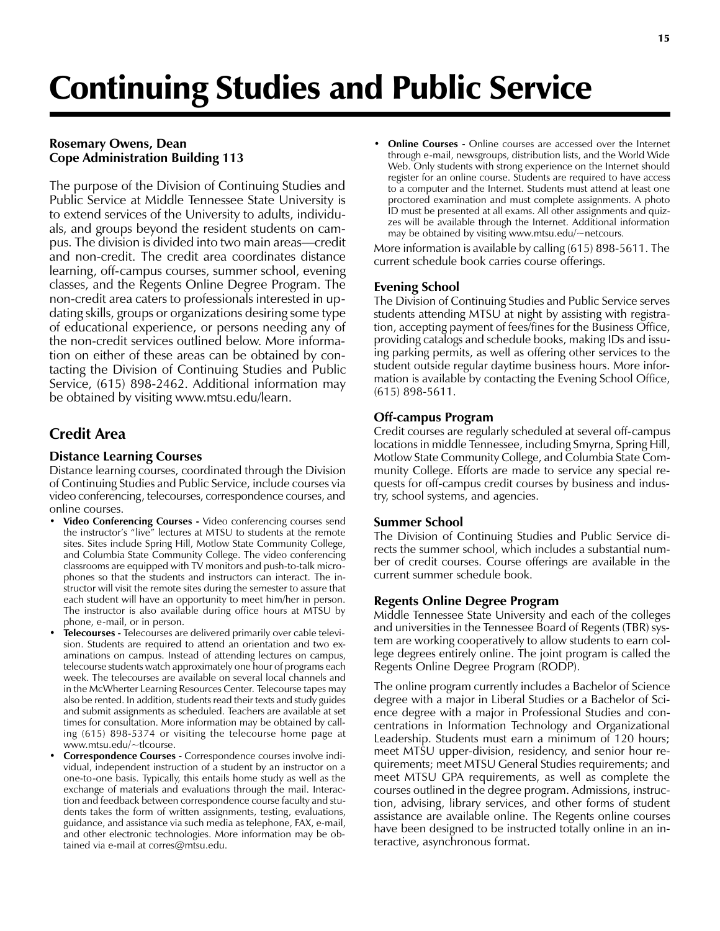# Continuing Studies and Public Service

## Rosemary Owens, Dean Cope Administration Building 113

The purpose of the Division of Continuing Studies and Public Service at Middle Tennessee State University is to extend services of the University to adults, individuals, and groups beyond the resident students on campus. The division is divided into two main areas—credit and non-credit. The credit area coordinates distance learning, off-campus courses, summer school, evening classes, and the Regents Online Degree Program. The non-credit area caters to professionals interested in updating skills, groups or organizations desiring some type of educational experience, or persons needing any of the non-credit services outlined below. More information on either of these areas can be obtained by contacting the Division of Continuing Studies and Public Service, (615) 898-2462. Additional information may be obtained by visiting www.mtsu.edu/learn.

# Credit Area

## Distance Learning Courses

Distance learning courses, coordinated through the Division of Continuing Studies and Public Service, include courses via video conferencing, telecourses, correspondence courses, and online courses.

- Video Conferencing Courses Video conferencing courses send the instructor's "live" lectures at MTSU to students at the remote sites. Sites include Spring Hill, Motlow State Community College, and Columbia State Community College. The video conferencing classrooms are equipped with TV monitors and push-to-talk microphones so that the students and instructors can interact. The instructor will visit the remote sites during the semester to assure that each student will have an opportunity to meet him/her in person. The instructor is also available during office hours at MTSU by phone, e-mail, or in person.
- Telecourses Telecourses are delivered primarily over cable television. Students are required to attend an orientation and two examinations on campus. Instead of attending lectures on campus, telecourse students watch approximately one hour of programs each week. The telecourses are available on several local channels and in the McWherter Learning Resources Center. Telecourse tapes may also be rented. In addition, students read their texts and study guides and submit assignments as scheduled. Teachers are available at set times for consultation. More information may be obtained by calling (615) 898-5374 or visiting the telecourse home page at www.mtsu.edu/~tlcourse.
- Correspondence Courses Correspondence courses involve individual, independent instruction of a student by an instructor on a one-to-one basis. Typically, this entails home study as well as the exchange of materials and evaluations through the mail. Interaction and feedback between correspondence course faculty and students takes the form of written assignments, testing, evaluations, guidance, and assistance via such media as telephone, FAX, e-mail, and other electronic technologies. More information may be obtained via e-mail at corres@mtsu.edu.

**Online Courses -** Online courses are accessed over the Internet through e-mail, newsgroups, distribution lists, and the World Wide Web. Only students with strong experience on the Internet should register for an online course. Students are required to have access to a computer and the Internet. Students must attend at least one proctored examination and must complete assignments. A photo ID must be presented at all exams. All other assignments and quizzes will be available through the Internet. Additional information may be obtained by visiting www.mtsu.edu/~netcours.

More information is available by calling (615) 898-5611. The current schedule book carries course offerings.

#### Evening School

The Division of Continuing Studies and Public Service serves students attending MTSU at night by assisting with registration, accepting payment of fees/fines for the Business Office, providing catalogs and schedule books, making IDs and issuing parking permits, as well as offering other services to the student outside regular daytime business hours. More information is available by contacting the Evening School Office, (615) 898-5611.

#### Off-campus Program

Credit courses are regularly scheduled at several off-campus locations in middle Tennessee, including Smyrna, Spring Hill, Motlow State Community College, and Columbia State Community College. Efforts are made to service any special requests for off-campus credit courses by business and industry, school systems, and agencies.

#### Summer School

The Division of Continuing Studies and Public Service directs the summer school, which includes a substantial number of credit courses. Course offerings are available in the current summer schedule book.

#### Regents Online Degree Program

Middle Tennessee State University and each of the colleges and universities in the Tennessee Board of Regents (TBR) system are working cooperatively to allow students to earn college degrees entirely online. The joint program is called the Regents Online Degree Program (RODP).

The online program currently includes a Bachelor of Science degree with a major in Liberal Studies or a Bachelor of Science degree with a major in Professional Studies and concentrations in Information Technology and Organizational Leadership. Students must earn a minimum of 120 hours; meet MTSU upper-division, residency, and senior hour requirements; meet MTSU General Studies requirements; and meet MTSU GPA requirements, as well as complete the courses outlined in the degree program. Admissions, instruction, advising, library services, and other forms of student assistance are available online. The Regents online courses have been designed to be instructed totally online in an interactive, asynchronous format.